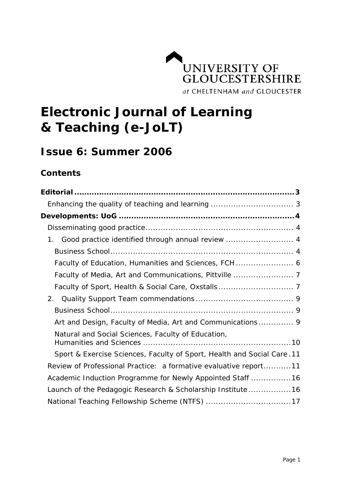

# **Electronic Journal of Learning & Teaching (e-JoLT)**

# **Issue 6: Summer 2006**

# **Contents**

| Good practice identified through annual review  4<br>1.                 |
|-------------------------------------------------------------------------|
|                                                                         |
| Faculty of Education, Humanities and Sciences, FCH  6                   |
|                                                                         |
|                                                                         |
| 2.                                                                      |
|                                                                         |
| Art and Design, Faculty of Media, Art and Communications 9              |
| Natural and Social Sciences, Faculty of Education,                      |
| Sport & Exercise Sciences, Faculty of Sport, Health and Social Care. 11 |
| Review of Professional Practice: a formative evaluative report11        |
| Academic Induction Programme for Newly Appointed Staff  16              |
| Launch of the Pedagogic Research & Scholarship Institute16              |
| National Teaching Fellowship Scheme (NTFS) 17                           |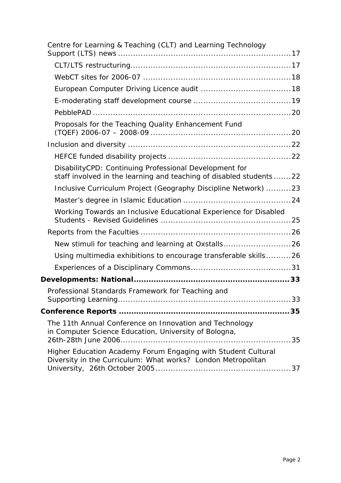| Centre for Learning & Teaching (CLT) and Learning Technology                                                                  |
|-------------------------------------------------------------------------------------------------------------------------------|
|                                                                                                                               |
|                                                                                                                               |
|                                                                                                                               |
|                                                                                                                               |
|                                                                                                                               |
| Proposals for the Teaching Quality Enhancement Fund                                                                           |
|                                                                                                                               |
|                                                                                                                               |
| DisabilityCPD: Continuing Professional Development for<br>staff involved in the learning and teaching of disabled students22  |
| Inclusive Curriculum Project (Geography Discipline Network) 23                                                                |
|                                                                                                                               |
| Working Towards an Inclusive Educational Experience for Disabled                                                              |
|                                                                                                                               |
| New stimuli for teaching and learning at Oxstalls26                                                                           |
| Using multimedia exhibitions to encourage transferable skills26                                                               |
|                                                                                                                               |
|                                                                                                                               |
| Professional Standards Framework for Teaching and                                                                             |
|                                                                                                                               |
| The 11th Annual Conference on Innovation and Technology<br>in Computer Science Education, University of Bologna,              |
| Higher Education Academy Forum Engaging with Student Cultural<br>Diversity in the Curriculum: What works? London Metropolitan |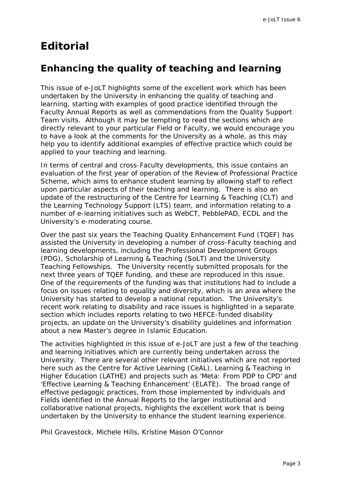# <span id="page-2-0"></span>**Editorial**

# **Enhancing the quality of teaching and learning**

This issue of e-JoLT highlights some of the excellent work which has been undertaken by the University in enhancing the quality of teaching and learning, starting with examples of good practice identified through the Faculty Annual Reports as well as commendations from the Quality Support Team visits. Although it may be tempting to read the sections which are directly relevant to your particular Field or Faculty, we would encourage you to have a look at the comments for the University as a whole, as this may help you to identify additional examples of effective practice which could be applied to your teaching and learning.

In terms of central and cross-Faculty developments, this issue contains an evaluation of the first year of operation of the Review of Professional Practice Scheme, which aims to enhance student learning by allowing staff to reflect upon particular aspects of their teaching and learning. There is also an update of the restructuring of the Centre for Learning & Teaching (CLT) and the Learning Technology Support (LTS) team, and information relating to a number of e-learning initiatives such as WebCT, PebblePAD, ECDL and the University's e-moderating course.

Over the past six years the Teaching Quality Enhancement Fund (TQEF) has assisted the University in developing a number of cross-Faculty teaching and learning developments, including the Professional Development Groups (PDG), Scholarship of Learning & Teaching (SoLT) and the University Teaching Fellowships. The University recently submitted proposals for the next three years of TQEF funding, and these are reproduced in this issue. One of the requirements of the funding was that institutions had to include a focus on issues relating to equality and diversity, which is an area where the University has started to develop a national reputation. The University's recent work relating to disability and race issues is highlighted in a separate section which includes reports relating to two HEFCE-funded disability projects, an update on the University's disability guidelines and information about a new Master's degree in Islamic Education.

The activities highlighted in this issue of e-JoLT are just a few of the teaching and learning initiatives which are currently being undertaken across the University. There are several other relevant initiatives which are not reported here such as the Centre for Active Learning (CeAL), *Learning & Teaching in Higher Education* (LATHE) and projects such as 'Meta: From PDP to CPD' and 'Effective Learning & Teaching Enhancement' (ELATE). The broad range of effective pedagogic practices, from those implemented by individuals and Fields identified in the Annual Reports to the larger institutional and collaborative national projects, highlights the excellent work that is being undertaken by the University to enhance the student learning experience.

*Phil Gravestock, Michele Hills, Kristine Mason O'Connor*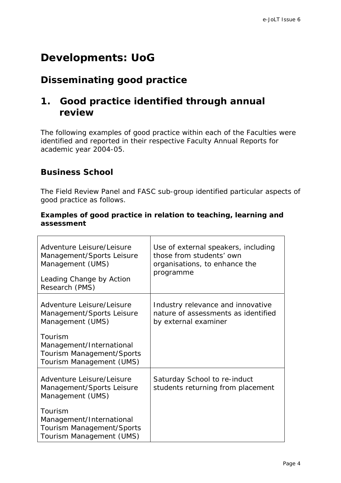# <span id="page-3-0"></span>**Developments: UoG**

# **Disseminating good practice**

# **1. Good practice identified through annual review**

The following examples of good practice within each of the Faculties were identified and reported in their respective Faculty Annual Reports for academic year 2004-05.

# **Business School**

The Field Review Panel and FASC sub-group identified particular aspects of good practice as follows.

### **Examples of good practice in relation to teaching, learning and assessment**

| Adventure Leisure/Leisure<br>Management/Sports Leisure<br>Management (UMS)<br>Leading Change by Action<br>Research (PMS)                                                   | Use of external speakers, including<br>those from students' own<br>organisations, to enhance the<br>programme |
|----------------------------------------------------------------------------------------------------------------------------------------------------------------------------|---------------------------------------------------------------------------------------------------------------|
| Adventure Leisure/Leisure<br>Management/Sports Leisure<br>Management (UMS)<br>Tourism<br>Management/International<br>Tourism Management/Sports<br>Tourism Management (UMS) | Industry relevance and innovative<br>nature of assessments as identified<br>by external examiner              |
| Adventure Leisure/Leisure<br>Management/Sports Leisure<br>Management (UMS)<br>Tourism<br>Management/International<br>Tourism Management/Sports<br>Tourism Management (UMS) | Saturday School to re-induct<br>students returning from placement                                             |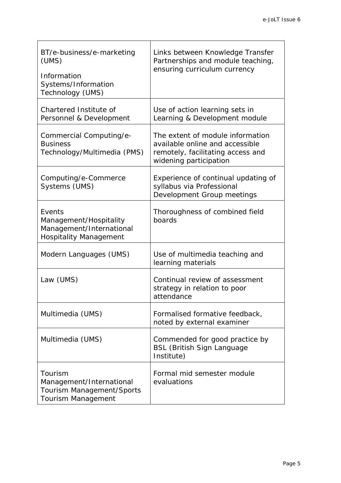| BT/e-business/e-marketing<br>(UMS)<br>Information<br>Systems/Information<br>Technology (UMS)  | Links between Knowledge Transfer<br>Partnerships and module teaching,<br>ensuring curriculum currency                              |  |
|-----------------------------------------------------------------------------------------------|------------------------------------------------------------------------------------------------------------------------------------|--|
| Chartered Institute of<br>Personnel & Development                                             | Use of action learning sets in<br>Learning & Development module                                                                    |  |
| Commercial Computing/e-<br><b>Business</b><br>Technology/Multimedia (PMS)                     | The extent of module information<br>available online and accessible<br>remotely, facilitating access and<br>widening participation |  |
| Computing/e-Commerce<br>Systems (UMS)                                                         | Experience of continual updating of<br>syllabus via Professional<br>Development Group meetings                                     |  |
| Events<br>Management/Hospitality<br>Management/International<br><b>Hospitality Management</b> | Thoroughness of combined field<br>boards                                                                                           |  |
| Modern Languages (UMS)                                                                        | Use of multimedia teaching and<br>learning materials                                                                               |  |
| Law (UMS)                                                                                     | Continual review of assessment<br>strategy in relation to poor<br>attendance                                                       |  |
| Multimedia (UMS)                                                                              | Formalised formative feedback,<br>noted by external examiner                                                                       |  |
| Multimedia (UMS)                                                                              | Commended for good practice by<br><b>BSL (British Sign Language</b><br>Institute)                                                  |  |
| Tourism<br>Management/International<br>Tourism Management/Sports<br>Tourism Management        | Formal mid semester module<br>evaluations                                                                                          |  |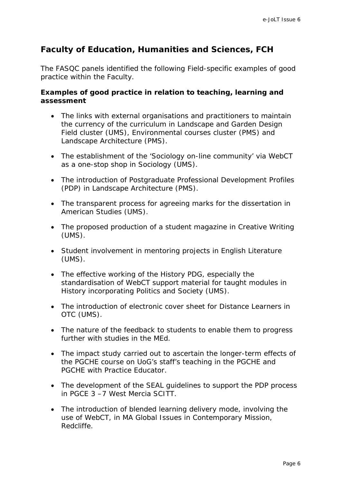# <span id="page-5-0"></span>**Faculty of Education, Humanities and Sciences, FCH**

The FASQC panels identified the following Field-specific examples of good practice within the Faculty.

# **Examples of good practice in relation to teaching, learning and assessment**

- The links with external organisations and practitioners to maintain the currency of the curriculum in Landscape and Garden Design Field cluster (UMS), Environmental courses cluster (PMS) and Landscape Architecture (PMS).
- The establishment of the 'Sociology on-line community' via WebCT as a one-stop shop in Sociology (UMS).
- The introduction of Postgraduate Professional Development Profiles (PDP) in Landscape Architecture (PMS).
- The transparent process for agreeing marks for the dissertation in American Studies (UMS).
- The proposed production of a student magazine in Creative Writing (UMS).
- Student involvement in mentoring projects in English Literature (UMS).
- The effective working of the History PDG, especially the standardisation of WebCT support material for taught modules in History incorporating Politics and Society (UMS).
- The introduction of electronic cover sheet for Distance Learners in OTC (UMS).
- The nature of the feedback to students to enable them to progress further with studies in the MEd.
- The impact study carried out to ascertain the longer-term effects of the PGCHE course on UoG's staff's teaching in the PGCHE and PGCHE with Practice Educator.
- The development of the SEAL guidelines to support the PDP process in PGCE 3 –7 West Mercia SCITT.
- The introduction of blended learning delivery mode, involving the use of WebCT, in MA Global Issues in Contemporary Mission, Redcliffe.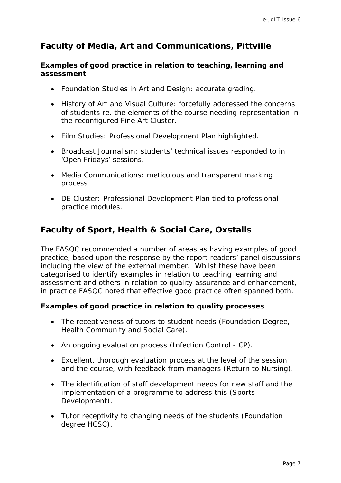# <span id="page-6-0"></span>**Faculty of Media, Art and Communications, Pittville**

### **Examples of good practice in relation to teaching, learning and assessment**

- Foundation Studies in Art and Design: accurate grading.
- History of Art and Visual Culture: forcefully addressed the concerns of students re. the elements of the course needing representation in the reconfigured Fine Art Cluster.
- Film Studies: Professional Development Plan highlighted.
- Broadcast Journalism: students' technical issues responded to in 'Open Fridays' sessions.
- Media Communications: meticulous and transparent marking process.
- DE Cluster: Professional Development Plan tied to professional practice modules.

# **Faculty of Sport, Health & Social Care, Oxstalls**

The FASQC recommended a number of areas as having examples of good practice, based upon the response by the report readers' panel discussions including the view of the external member. Whilst these have been categorised to identify examples in relation to teaching learning and assessment and others in relation to quality assurance and enhancement, in practice FASQC noted that effective good practice often spanned both.

# **Examples of good practice in relation to quality processes**

- The receptiveness of tutors to student needs (Foundation Degree, Health Community and Social Care).
- An ongoing evaluation process (Infection Control CP).
- Excellent, thorough evaluation process at the level of the session and the course, with feedback from managers (Return to Nursing).
- The identification of staff development needs for new staff and the implementation of a programme to address this (Sports Development).
- Tutor receptivity to changing needs of the students (Foundation degree HCSC).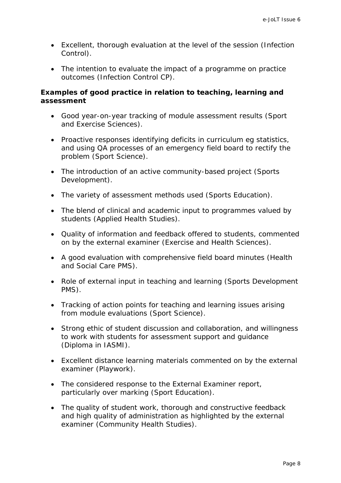- Excellent, thorough evaluation at the level of the session (Infection Control).
- The intention to evaluate the impact of a programme on practice outcomes (Infection Control CP).

### **Examples of good practice in relation to teaching, learning and assessment**

- Good year-on-year tracking of module assessment results (Sport and Exercise Sciences).
- Proactive responses identifying deficits in curriculum eg statistics, and using QA processes of an emergency field board to rectify the problem (Sport Science).
- The introduction of an active community-based project (Sports Development).
- The variety of assessment methods used (Sports Education).
- The blend of clinical and academic input to programmes valued by students (Applied Health Studies).
- Quality of information and feedback offered to students, commented on by the external examiner (Exercise and Health Sciences).
- A good evaluation with comprehensive field board minutes (Health and Social Care PMS).
- Role of external input in teaching and learning (Sports Development PMS).
- Tracking of action points for teaching and learning issues arising from module evaluations (Sport Science).
- Strong ethic of student discussion and collaboration, and willingness to work with students for assessment support and guidance (Diploma in IASMI).
- Excellent distance learning materials commented on by the external examiner (Playwork).
- The considered response to the External Examiner report, particularly over marking (Sport Education).
- The quality of student work, thorough and constructive feedback and high quality of administration as highlighted by the external examiner (Community Health Studies).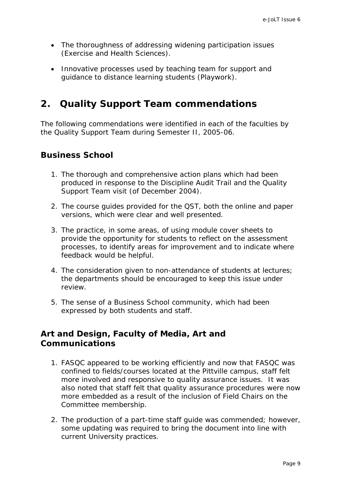- <span id="page-8-0"></span>• The thoroughness of addressing widening participation issues (Exercise and Health Sciences).
- Innovative processes used by teaching team for support and guidance to distance learning students (Playwork).

# **2. Quality Support Team commendations**

The following commendations were identified in each of the faculties by the Quality Support Team during Semester II, 2005-06.

# **Business School**

- 1. The thorough and comprehensive action plans which had been produced in response to the Discipline Audit Trail and the Quality Support Team visit (of December 2004).
- 2. The course guides provided for the QST, both the online and paper versions, which were clear and well presented.
- 3. The practice, in some areas, of using module cover sheets to provide the opportunity for students to reflect on the assessment processes, to identify areas for improvement and to indicate where feedback would be helpful.
- 4. The consideration given to non-attendance of students at lectures; the departments should be encouraged to keep this issue under review.
- 5. The sense of a Business School community, which had been expressed by both students and staff.

# **Art and Design, Faculty of Media, Art and Communications**

- 1. FASQC appeared to be working efficiently and now that FASQC was confined to fields/courses located at the Pittville campus, staff felt more involved and responsive to quality assurance issues. It was also noted that staff felt that quality assurance procedures were now more embedded as a result of the inclusion of Field Chairs on the Committee membership.
- 2. The production of a part-time staff guide was commended; however, some updating was required to bring the document into line with current University practices.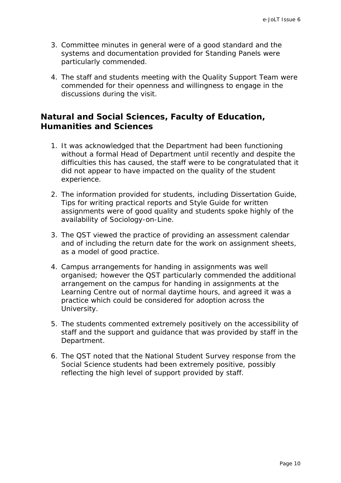- <span id="page-9-0"></span>3. Committee minutes in general were of a good standard and the systems and documentation provided for Standing Panels were particularly commended.
- 4. The staff and students meeting with the Quality Support Team were commended for their openness and willingness to engage in the discussions during the visit.

# **Natural and Social Sciences, Faculty of Education, Humanities and Sciences**

- 1. It was acknowledged that the Department had been functioning without a formal Head of Department until recently and despite the difficulties this has caused, the staff were to be congratulated that it did not appear to have impacted on the quality of the student experience.
- 2. The information provided for students, including Dissertation Guide, Tips for writing practical reports and Style Guide for written assignments were of good quality and students spoke highly of the availability of Sociology-on-Line.
- 3. The QST viewed the practice of providing an assessment calendar and of including the return date for the work on assignment sheets, as a model of good practice.
- 4. Campus arrangements for handing in assignments was well organised; however the QST particularly commended the additional arrangement on the campus for handing in assignments at the Learning Centre out of normal daytime hours, and agreed it was a practice which could be considered for adoption across the University.
- 5. The students commented extremely positively on the accessibility of staff and the support and guidance that was provided by staff in the Department.
- 6. The QST noted that the National Student Survey response from the Social Science students had been extremely positive, possibly reflecting the high level of support provided by staff.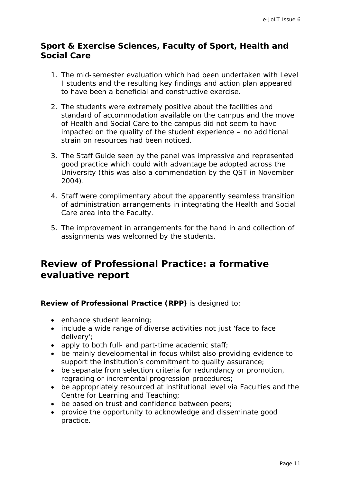# <span id="page-10-0"></span>**Sport & Exercise Sciences, Faculty of Sport, Health and Social Care**

- 1. The mid-semester evaluation which had been undertaken with Level I students and the resulting key findings and action plan appeared to have been a beneficial and constructive exercise.
- 2. The students were extremely positive about the facilities and standard of accommodation available on the campus and the move of Health and Social Care to the campus did not seem to have impacted on the quality of the student experience – no additional strain on resources had been noticed.
- 3. The Staff Guide seen by the panel was impressive and represented good practice which could with advantage be adopted across the University (this was also a commendation by the QST in November 2004).
- 4. Staff were complimentary about the apparently seamless transition of administration arrangements in integrating the Health and Social Care area into the Faculty.
- 5. The improvement in arrangements for the hand in and collection of assignments was welcomed by the students.

# **Review of Professional Practice: a formative evaluative report**

#### **Review of Professional Practice (RPP)** is designed to:

- enhance student learning;
- include a wide range of diverse activities not just 'face to face delivery';
- apply to both full- and part-time academic staff;
- be mainly developmental in focus whilst also providing evidence to support the institution's commitment to quality assurance;
- be separate from selection criteria for redundancy or promotion, regrading or incremental progression procedures;
- be appropriately resourced at institutional level via Faculties and the Centre for Learning and Teaching;
- be based on trust and confidence between peers;
- provide the opportunity to acknowledge and disseminate good practice.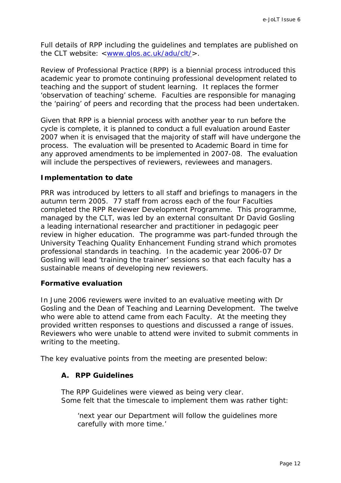Full details of RPP including the guidelines and templates are published on the CLT website: <[www.glos.ac.uk/adu/clt/>](http://www.glos.ac.uk/adu/clt/).

Review of Professional Practice (RPP) is a biennial process introduced this academic year to promote continuing professional development related to teaching and the support of student learning. It replaces the former 'observation of teaching' scheme. Faculties are responsible for managing the 'pairing' of peers and recording that the process had been undertaken.

Given that RPP is a biennial process with another year to run before the cycle is complete, it is planned to conduct a full evaluation around Easter 2007 when it is envisaged that the majority of staff will have undergone the process. The evaluation will be presented to Academic Board in time for any approved amendments to be implemented in 2007-08. The evaluation will include the perspectives of reviewers, reviewees and managers.

#### **Implementation to date**

PRR was introduced by letters to all staff and briefings to managers in the autumn term 2005. 77 staff from across each of the four Faculties completed the RPP Reviewer Development Programme. This programme, managed by the CLT, was led by an external consultant Dr David Gosling a leading international researcher and practitioner in pedagogic peer review in higher education. The programme was part-funded through the University Teaching Quality Enhancement Funding strand which promotes professional standards in teaching. In the academic year 2006-07 Dr Gosling will lead 'training the trainer' sessions so that each faculty has a sustainable means of developing new reviewers.

#### **Formative evaluation**

In June 2006 reviewers were invited to an evaluative meeting with Dr Gosling and the Dean of Teaching and Learning Development. The twelve who were able to attend came from each Faculty. At the meeting they provided written responses to questions and discussed a range of issues. Reviewers who were unable to attend were invited to submit comments in writing to the meeting.

The key evaluative points from the meeting are presented below:

#### **A. RPP Guidelines**

The RPP Guidelines were viewed as being very clear. Some felt that the timescale to implement them was rather tight:

'next year our Department will follow the guidelines more carefully with more time.'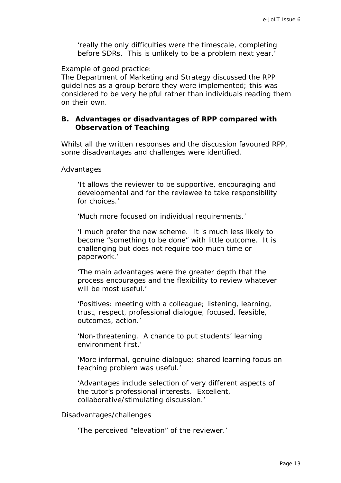'really the only difficulties were the timescale, completing before SDRs. This is unlikely to be a problem next year.'

Example of good practice:

The Department of Marketing and Strategy discussed the RPP guidelines as a group before they were implemented; this was considered to be very helpful rather than individuals reading them on their own.

### **B. Advantages or disadvantages of RPP compared with Observation of Teaching**

Whilst all the written responses and the discussion favoured RPP, some disadvantages and challenges were identified.

#### Advantages

'It allows the reviewer to be supportive, encouraging and developmental and for the reviewee to take responsibility for choices.'

'Much more focused on individual requirements.'

'I much prefer the new scheme. It is much less likely to become "something to be done" with little outcome. It is challenging but does not require too much time or paperwork.'

'The main advantages were the greater depth that the process encourages and the flexibility to review whatever will be most useful.'

'Positives: meeting with a colleague; listening, learning, trust, respect, professional dialogue, focused, feasible, outcomes, action.'

'Non-threatening. A chance to put students' learning environment first.'

'More informal, genuine dialogue; shared learning focus on teaching problem was useful.'

'Advantages include selection of very different aspects of the tutor's professional interests. Excellent, collaborative/stimulating discussion.'

Disadvantages/challenges

'The perceived "elevation" of the reviewer.'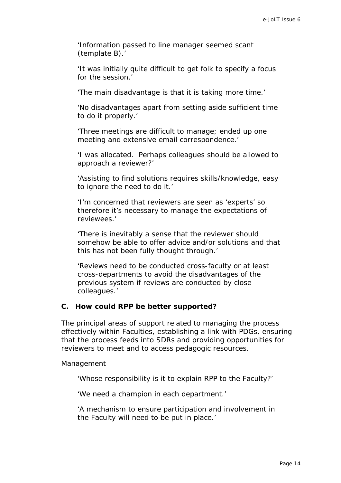'Information passed to line manager seemed scant (template B).'

'It was initially quite difficult to get folk to specify a focus for the session.'

'The main disadvantage is that it is taking more time.'

'No disadvantages apart from setting aside sufficient time to do it properly.'

'Three meetings are difficult to manage; ended up one meeting and extensive email correspondence.'

'I was allocated. Perhaps colleagues should be allowed to approach a reviewer?'

'Assisting to find solutions requires skills/knowledge, easy to ignore the need to do it.'

'I'm concerned that reviewers are seen as 'experts' so therefore it's necessary to manage the expectations of reviewees.'

'There is inevitably a sense that the reviewer should somehow be able to offer advice and/or solutions and that this has not been fully thought through.'

'Reviews need to be conducted cross-faculty or at least cross-departments to avoid the disadvantages of the previous system if reviews are conducted by close colleagues.'

#### **C. How could RPP be better supported?**

The principal areas of support related to managing the process effectively within Faculties, establishing a link with PDGs, ensuring that the process feeds into SDRs and providing opportunities for reviewers to meet and to access pedagogic resources.

Management

'Whose responsibility is it to explain RPP to the Faculty?'

'We need a champion in each department.'

'A mechanism to ensure participation and involvement in the Faculty will need to be put in place.'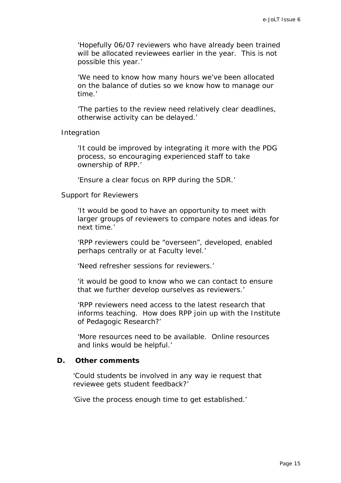'Hopefully 06/07 reviewers who have already been trained will be allocated reviewees earlier in the year. This is not possible this year.'

'We need to know how many hours we've been allocated on the balance of duties so we know how to manage our time.'

'The parties to the review need relatively clear deadlines, otherwise activity can be delayed.'

Integration

'It could be improved by integrating it more with the PDG process, so encouraging experienced staff to take ownership of RPP.'

'Ensure a clear focus on RPP during the SDR.'

#### Support for Reviewers

'It would be good to have an opportunity to meet with larger groups of reviewers to compare notes and ideas for next time.'

'RPP reviewers could be "overseen", developed, enabled perhaps centrally or at Faculty level.'

'Need refresher sessions for reviewers.'

'it would be good to know who we can contact to ensure that we further develop ourselves as reviewers.'

'RPP reviewers need access to the latest research that informs teaching. How does RPP join up with the Institute of Pedagogic Research?'

'More resources need to be available. Online resources and links would be helpful.'

#### **D. Other comments**

'Could students be involved in any way ie request that reviewee gets student feedback?'

'Give the process enough time to get established.'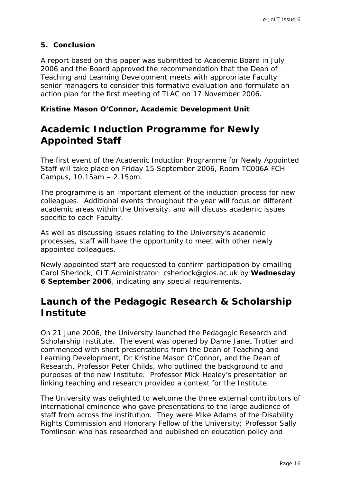# <span id="page-15-0"></span>**5. Conclusion**

A report based on this paper was submitted to Academic Board in July 2006 and the Board approved the recommendation that the Dean of Teaching and Learning Development meets with appropriate Faculty senior managers to consider this formative evaluation and formulate an action plan for the first meeting of TLAC on 17 November 2006.

# *Kristine Mason O'Connor, Academic Development Unit*

# **Academic Induction Programme for Newly Appointed Staff**

The first event of the Academic Induction Programme for Newly Appointed Staff will take place on Friday 15 September 2006, Room TC006A FCH Campus, 10.15am – 2.15pm.

The programme is an important element of the induction process for new colleagues. Additional events throughout the year will focus on different academic areas within the University, and will discuss academic issues specific to each Faculty.

As well as discussing issues relating to the University's academic processes, staff will have the opportunity to meet with other newly appointed colleagues.

Newly appointed staff are requested to confirm participation by emailing Carol Sherlock, CLT Administrator: csherlock@glos.ac.uk by **Wednesday 6 September 2006**, indicating any special requirements.

# **Launch of the Pedagogic Research & Scholarship Institute**

On 21 June 2006, the University launched the Pedagogic Research and Scholarship Institute. The event was opened by Dame Janet Trotter and commenced with short presentations from the Dean of Teaching and Learning Development, Dr Kristine Mason O'Connor, and the Dean of Research, Professor Peter Childs, who outlined the background to and purposes of the new Institute. Professor Mick Healey's presentation on linking teaching and research provided a context for the Institute.

The University was delighted to welcome the three external contributors of international eminence who gave presentations to the large audience of staff from across the institution. They were Mike Adams of the Disability Rights Commission and Honorary Fellow of the University; Professor Sally Tomlinson who has researched and published on education policy and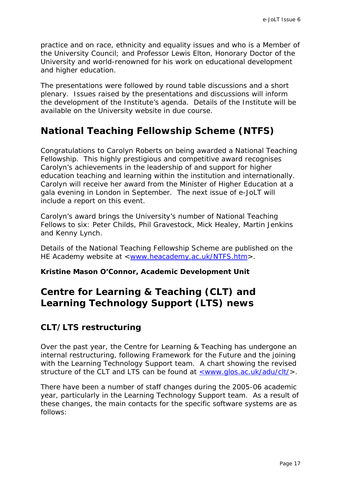<span id="page-16-0"></span>practice and on race, ethnicity and equality issues and who is a Member of the University Council; and Professor Lewis Elton, Honorary Doctor of the University and world-renowned for his work on educational development and higher education.

The presentations were followed by round table discussions and a short plenary. Issues raised by the presentations and discussions will inform the development of the Institute's agenda. Details of the Institute will be available on the University website in due course.

# **National Teaching Fellowship Scheme (NTFS)**

Congratulations to Carolyn Roberts on being awarded a National Teaching Fellowship. This highly prestigious and competitive award recognises Carolyn's achievements in the leadership of and support for higher education teaching and learning within the institution and internationally. Carolyn will receive her award from the Minister of Higher Education at a gala evening in London in September. The next issue of e-JoLT will include a report on this event.

Carolyn's award brings the University's number of National Teaching Fellows to six: Peter Childs, Phil Gravestock, Mick Healey, Martin Jenkins and Kenny Lynch.

Details of the National Teaching Fellowship Scheme are published on the HE Academy website at [<www.heacademy.ac.uk/NTFS.htm>](http://www.heacademy.ac.uk/NTFS.htm).

#### *Kristine Mason O'Connor, Academic Development Unit*

# **Centre for Learning & Teaching (CLT) and Learning Technology Support (LTS) news**

# **CLT/LTS restructuring**

Over the past year, the Centre for Learning & Teaching has undergone an internal restructuring, following Framework for the Future and the joining with the Learning Technology Support team. A chart showing the revised structure of the CLT and LTS can be found at <u><www.glos.ac.uk/adu/clt/</u>>.

There have been a number of staff changes during the 2005-06 academic year, particularly in the Learning Technology Support team. As a result of these changes, the main contacts for the specific software systems are as follows: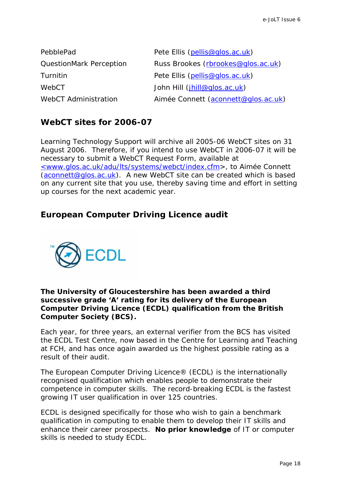<span id="page-17-0"></span>

| PebblePad                      | Pete Ellis (pellis@glos.ac.uk)      |  |
|--------------------------------|-------------------------------------|--|
| <b>QuestionMark Perception</b> | Russ Brookes (rbrookes@qlos.ac.uk)  |  |
| Turnitin                       | Pete Ellis (pellis@glos.ac.uk)      |  |
| WebCT                          | John Hill (jhill@glos.ac.uk)        |  |
| <b>WebCT Administration</b>    | Aimée Connett (aconnett@glos.ac.uk) |  |

# **WebCT sites for 2006-07**

Learning Technology Support will archive all 2005-06 WebCT sites on 31 August 2006. Therefore, if you intend to use WebCT in 2006-07 it will be necessary to submit a WebCT Request Form, available at [<www.glos.ac.uk/adu/lts/systems/webct/index.cfm](http://www.glos.ac.uk/adu/lts/systems/webct/index.cfm)>, to Aimée Connett [\(aconnett@glos.ac.uk](mailto:aconnett@glos.ac.uk)). A new WebCT site can be created which is based on any current site that you use, thereby saving time and effort in setting up courses for the next academic year.

# **European Computer Driving Licence audit**



### **The University of Gloucestershire has been awarded a third successive grade 'A' rating for its delivery of the European Computer Driving Licence (ECDL) qualification from the British Computer Society (BCS).**

Each year, for three years, an external verifier from the BCS has visited the ECDL Test Centre, now based in the Centre for Learning and Teaching at FCH, and has once again awarded us the highest possible rating as a result of their audit.

The European Computer Driving Licence® (ECDL) is the internationally recognised qualification which enables people to demonstrate their competence in computer skills. The record-breaking ECDL is the fastest growing IT user qualification in over 125 countries.

ECDL is designed specifically for those who wish to gain a benchmark qualification in computing to enable them to develop their IT skills and enhance their career prospects. **No prior knowledge** of IT or computer skills is needed to study ECDL.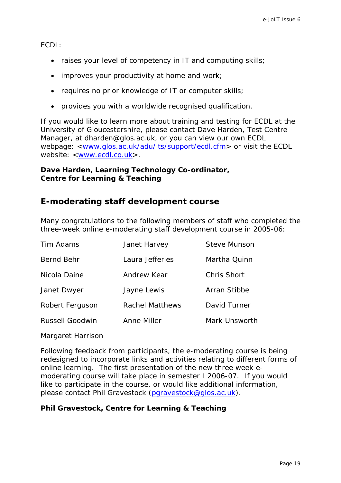<span id="page-18-0"></span>ECDL:

- raises your level of competency in IT and computing skills;
- improves your productivity at home and work;
- requires no prior knowledge of IT or computer skills;
- provides you with a worldwide recognised qualification.

If you would like to learn more about training and testing for ECDL at the University of Gloucestershire, please contact Dave Harden, Test Centre Manager, at [dharden@glos.ac.uk](mailto:dharden@glos.ac.uk), or you can view our own ECDL webpage: [<www.glos.ac.uk/adu/lts/support/ecdl.cfm](http://www.glos.ac.uk/adu/lts/support/ecdl.cfm)> or visit the ECDL website: [<www.ecdl.co.uk](https://webmail.glos.ac.uk/exchweb/bin/redir.asp?URL=http://www.ecdl.co.uk)>.

### *Dave Harden, Learning Technology Co-ordinator, Centre for Learning & Teaching*

# **E-moderating staff development course**

Many congratulations to the following members of staff who completed the three-week online e-moderating staff development course in 2005-06:

| Tim Adams              | Janet Harvey           | <b>Steve Munson</b> |
|------------------------|------------------------|---------------------|
| Bernd Behr             | Laura Jefferies        | Martha Quinn        |
| Nicola Daine           | Andrew Kear            | <b>Chris Short</b>  |
| Janet Dwyer            | Jayne Lewis            | Arran Stibbe        |
| Robert Ferguson        | <b>Rachel Matthews</b> | David Turner        |
| <b>Russell Goodwin</b> | Anne Miller            | Mark Unsworth       |

Margaret Harrison

Following feedback from participants, the e-moderating course is being redesigned to incorporate links and activities relating to different forms of online learning. The first presentation of the new three week emoderating course will take place in semester I 2006-07. If you would like to participate in the course, or would like additional information, please contact Phil Gravestock ([pgravestock@glos.ac.uk](mailto:pgravestock@glos.ac.uk)).

# *Phil Gravestock, Centre for Learning & Teaching*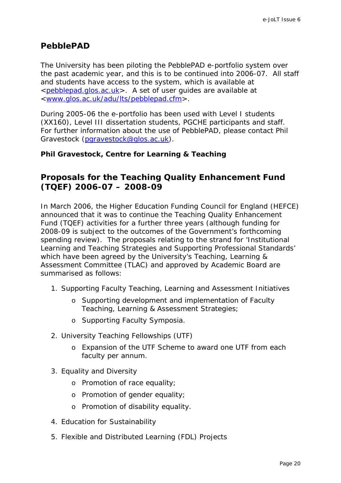# <span id="page-19-0"></span>**PebblePAD**

The University has been piloting the PebblePAD e-portfolio system over the past academic year, and this is to be continued into 2006-07. All staff and students have access to the system, which is available at <[pebblepad.glos.ac.uk>](http://pebblepad.glos.ac.uk/). A set of user guides are available at <[www.glos.ac.uk/adu/lts/pebblepad.cfm](http://www.glos.ac.uk/adu/lts/pebblepad.cfm)>.

During 2005-06 the e-portfolio has been used with Level I students (XX160), Level III dissertation students, PGCHE participants and staff. For further information about the use of PebblePAD, please contact Phil Gravestock [\(pgravestock@glos.ac.uk](mailto:pgravestock@glos.ac.uk)).

# *Phil Gravestock, Centre for Learning & Teaching*

# **Proposals for the Teaching Quality Enhancement Fund (TQEF) 2006-07 – 2008-09**

In March 2006, the Higher Education Funding Council for England (HEFCE) announced that it was to continue the Teaching Quality Enhancement Fund (TQEF) activities for a further three years (although funding for 2008-09 is subject to the outcomes of the Government's forthcoming spending review). The proposals relating to the strand for 'Institutional Learning and Teaching Strategies and Supporting Professional Standards' which have been agreed by the University's Teaching, Learning & Assessment Committee (TLAC) and approved by Academic Board are summarised as follows:

- 1. Supporting Faculty Teaching, Learning and Assessment Initiatives
	- o Supporting development and implementation of Faculty Teaching, Learning & Assessment Strategies;
	- o Supporting Faculty Symposia.
- 2. University Teaching Fellowships (UTF)
	- o Expansion of the UTF Scheme to award one UTF from each faculty per annum.
- 3. Equality and Diversity
	- o Promotion of race equality;
	- o Promotion of gender equality;
	- o Promotion of disability equality.
- 4. Education for Sustainability
- 5. Flexible and Distributed Learning (FDL) Projects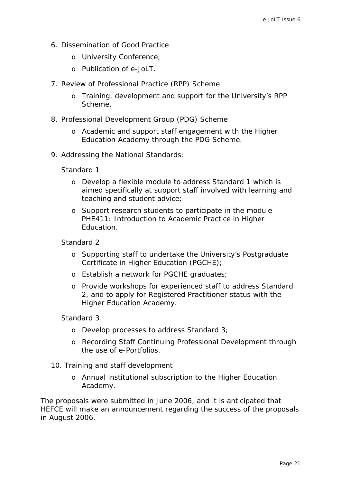- 6. Dissemination of Good Practice
	- o University Conference;
	- o Publication of e-JoLT.
- 7. Review of Professional Practice (RPP) Scheme
	- o Training, development and support for the University's RPP Scheme.
- 8. Professional Development Group (PDG) Scheme
	- o Academic and support staff engagement with the Higher Education Academy through the PDG Scheme.
- 9. Addressing the National Standards:

Standard 1

- o Develop a flexible module to address Standard 1 which is aimed specifically at support staff involved with learning and teaching and student advice;
- o Support research students to participate in the module PHE411: Introduction to Academic Practice in Higher Education.

Standard 2

- o Supporting staff to undertake the University's Postgraduate Certificate in Higher Education (PGCHE);
- o Establish a network for PGCHE graduates;
- o Provide workshops for experienced staff to address Standard 2, and to apply for Registered Practitioner status with the Higher Education Academy.

Standard 3

- o Develop processes to address Standard 3;
- o Recording Staff Continuing Professional Development through the use of e-Portfolios.
- 10. Training and staff development
	- o Annual institutional subscription to the Higher Education Academy.

The proposals were submitted in June 2006, and it is anticipated that HEFCE will make an announcement regarding the success of the proposals in August 2006.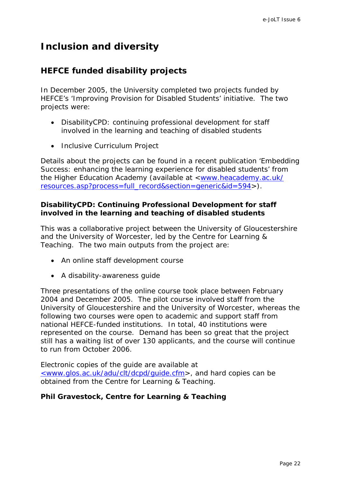# <span id="page-21-0"></span>**Inclusion and diversity**

# **HEFCE funded disability projects**

In December 2005, the University completed two projects funded by HEFCE's 'Improving Provision for Disabled Students' initiative. The two projects were:

- DisabilityCPD: continuing professional development for staff involved in the learning and teaching of disabled students
- Inclusive Curriculum Project

Details about the projects can be found in a recent publication '*Embedding Success: enhancing the learning experience for disabled students*' from the Higher Education Academy (available at <[www.heacademy.ac.uk/](http://www.heacademy.ac.uk/resources.asp?process=full_record§ion=generic&id=594) [resources.asp?process=full\\_record&section=generic&id=594](http://www.heacademy.ac.uk/resources.asp?process=full_record§ion=generic&id=594)>).

# **DisabilityCPD: Continuing Professional Development for staff involved in the learning and teaching of disabled students**

This was a collaborative project between the University of Gloucestershire and the University of Worcester, led by the Centre for Learning & Teaching. The two main outputs from the project are:

- An online staff development course
- A disability-awareness guide

Three presentations of the online course took place between February 2004 and December 2005. The pilot course involved staff from the University of Gloucestershire and the University of Worcester, whereas the following two courses were open to academic and support staff from national HEFCE-funded institutions. In total, 40 institutions were represented on the course. Demand has been so great that the project still has a waiting list of over 130 applicants, and the course will continue to run from October 2006.

Electronic copies of the guide are available at [<www.glos.ac.uk/adu/clt/dcpd/guide.cfm](http://www.glos.ac.uk/adu/clt/dcpd/guide.cfm)>, and hard copies can be obtained from the Centre for Learning & Teaching.

# *Phil Gravestock, Centre for Learning & Teaching*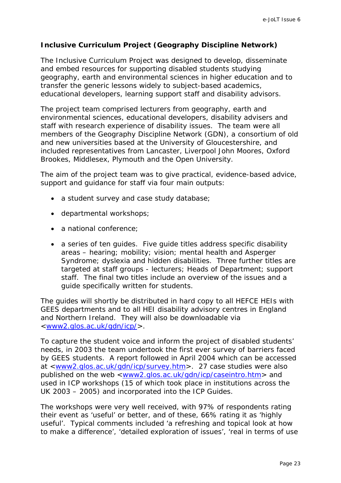# <span id="page-22-0"></span>**Inclusive Curriculum Project (Geography Discipline Network)**

The Inclusive Curriculum Project was designed to develop, disseminate and embed resources for supporting disabled students studying geography, earth and environmental sciences in higher education and to transfer the generic lessons widely to subject-based academics, educational developers, learning support staff and disability advisors.

The project team comprised lecturers from geography, earth and environmental sciences, educational developers, disability advisers and staff with research experience of disability issues. The team were all members of the Geography Discipline Network (GDN), a consortium of old and new universities based at the University of Gloucestershire, and included representatives from Lancaster, Liverpool John Moores, Oxford Brookes, Middlesex, Plymouth and the Open University.

The aim of the project team was to give practical, evidence-based advice, support and guidance for staff via four main outputs:

- a student survey and case study database;
- departmental workshops;
- a national conference:
- a series of ten quides. Five quide titles address specific disability areas – hearing; mobility; vision; mental health and Asperger Syndrome; dyslexia and hidden disabilities. Three further titles are targeted at staff groups - lecturers; Heads of Department; support staff. The final two titles include an overview of the issues and a guide specifically written for students.

The guides will shortly be distributed in hard copy to all HEFCE HEIs with GEES departments and to all HEI disability advisory centres in England and Northern Ireland. They will also be downloadable via <www2.glos.ac.uk/gdn/icp/>.

To capture the student voice and inform the project of disabled students' needs, in 2003 the team undertook the first ever survey of barriers faced by GEES students. A report followed in April 2004 which can be accessed at <www2.glos.ac.uk/gdn/icp/survey.htm>. 27 case studies were also published on the web <www2.glos.ac.uk/gdn/icp/caseintro.htm> and used in ICP workshops (15 of which took place in institutions across the UK 2003 – 2005) and incorporated into the ICP Guides.

The workshops were very well received, with 97% of respondents rating their event as 'useful' or better, and of these, 66% rating it as 'highly useful'. Typical comments included 'a refreshing and topical look at how to make a difference', 'detailed exploration of issues', 'real in terms of use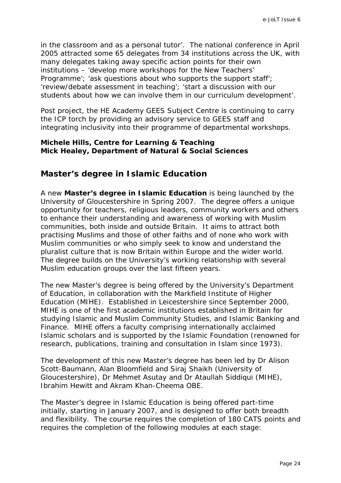<span id="page-23-0"></span>in the classroom and as a personal tutor'. The national conference in April 2005 attracted some 65 delegates from 34 institutions across the UK, with many delegates taking away specific action points for their own institutions – 'develop more workshops for the New Teachers' Programme'; 'ask questions about who supports the support staff'; 'review/debate assessment in teaching'; 'start a discussion with our students about how we can involve them in our curriculum development'.

Post project, the HE Academy GEES Subject Centre is continuing to carry the ICP torch by providing an advisory service to GEES staff and integrating inclusivity into their programme of departmental workshops.

### *Michele Hills, Centre for Learning & Teaching Mick Healey, Department of Natural & Social Sciences*

# **Master's degree in Islamic Education**

A new **Master's degree in Islamic Education** is being launched by the University of Gloucestershire in Spring 2007. The degree offers a unique opportunity for teachers, religious leaders, community workers and others to enhance their understanding and awareness of working with Muslim communities, both inside and outside Britain. It aims to attract both practising Muslims and those of other faiths and of none who work with Muslim communities or who simply seek to know and understand the pluralist culture that is now Britain within Europe and the wider world. The degree builds on the University's working relationship with several Muslim education groups over the last fifteen years.

The new Master's degree is being offered by the University's Department of Education, in collaboration with the Markfield Institute of Higher Education (MIHE). Established in Leicestershire since September 2000, MIHE is one of the first academic institutions established in Britain for studying Islamic and Muslim Community Studies, and Islamic Banking and Finance. MIHE offers a faculty comprising internationally acclaimed Islamic scholars and is supported by the Islamic Foundation (renowned for research, publications, training and consultation in Islam since 1973).

The development of this new Master's degree has been led by Dr Alison Scott-Baumann, Alan Bloomfield and Siraj Shaikh (University of Gloucestershire), Dr Mehmet Asutay and Dr Ataullah Siddiqui (MIHE), Ibrahim Hewitt and Akram Khan-Cheema OBE.

The Master's degree in Islamic Education is being offered part-time initially, starting in January 2007, and is designed to offer both breadth and flexibility. The course requires the completion of 180 CATS points and requires the completion of the following modules at each stage: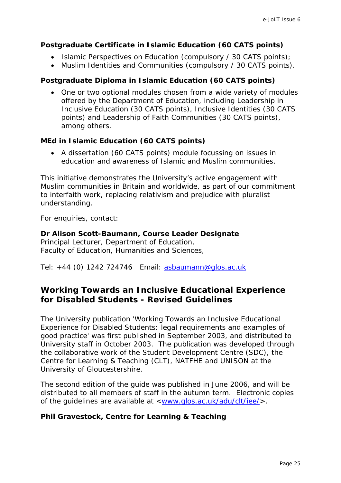### <span id="page-24-0"></span>**Postgraduate Certificate in Islamic Education (60 CATS points)**

- Islamic Perspectives on Education (compulsory / 30 CATS points);
- Muslim Identities and Communities (compulsory / 30 CATS points).

### **Postgraduate Diploma in Islamic Education (60 CATS points)**

• One or two optional modules chosen from a wide variety of modules offered by the Department of Education, including Leadership in Inclusive Education (30 CATS points), Inclusive Identities (30 CATS points) and Leadership of Faith Communities (30 CATS points), among others.

### **MEd in Islamic Education (60 CATS points)**

• A dissertation (60 CATS points) module focussing on issues in education and awareness of Islamic and Muslim communities.

This initiative demonstrates the University's active engagement with Muslim communities in Britain and worldwide, as part of our commitment to interfaith work, replacing relativism and prejudice with pluralist understanding.

For enquiries, contact:

#### **Dr Alison Scott-Baumann, Course Leader Designate**  Principal Lecturer, Department of Education,

Faculty of Education, Humanities and Sciences,

Tel: +44 (0) 1242 724746 Email: [asbaumann@glos.ac.uk](mailto:asbaumann@glos.ac.uk)

# **Working Towards an Inclusive Educational Experience for Disabled Students - Revised Guidelines**

The University publication 'Working Towards an Inclusive Educational Experience for Disabled Students: legal requirements and examples of good practice' was first published in September 2003, and distributed to University staff in October 2003. The publication was developed through the collaborative work of the Student Development Centre (SDC), the Centre for Learning & Teaching (CLT), NATFHE and UNISON at the University of Gloucestershire.

The second edition of the guide was published in June 2006, and will be distributed to all members of staff in the autumn term. Electronic copies of the guidelines are available at <www.glos.ac.uk/adu/clt/iee/>.

# *Phil Gravestock, Centre for Learning & Teaching*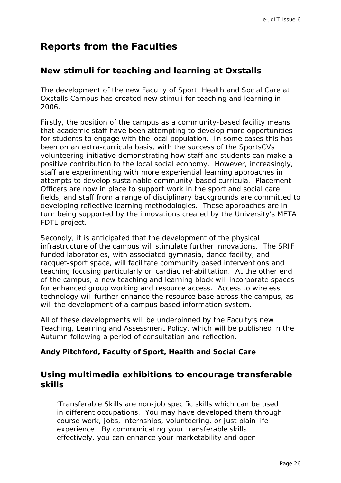# <span id="page-25-0"></span>**Reports from the Faculties**

# **New stimuli for teaching and learning at Oxstalls**

The development of the new Faculty of Sport, Health and Social Care at Oxstalls Campus has created new stimuli for teaching and learning in 2006.

Firstly, the position of the campus as a community-based facility means that academic staff have been attempting to develop more opportunities for students to engage with the local population. In some cases this has been on an extra-curricula basis, with the success of the SportsCVs volunteering initiative demonstrating how staff and students can make a positive contribution to the local social economy. However, increasingly, staff are experimenting with more experiential learning approaches in attempts to develop sustainable community-based curricula. Placement Officers are now in place to support work in the sport and social care fields, and staff from a range of disciplinary backgrounds are committed to developing reflective learning methodologies. These approaches are in turn being supported by the innovations created by the University's *META* FDTL project.

Secondly, it is anticipated that the development of the physical infrastructure of the campus will stimulate further innovations. The SRIF funded laboratories, with associated gymnasia, dance facility, and racquet-sport space, will facilitate community based interventions and teaching focusing particularly on cardiac rehabilitation. At the other end of the campus, a new teaching and learning block will incorporate spaces for enhanced group working and resource access. Access to wireless technology will further enhance the resource base across the campus, as will the development of a campus based information system.

All of these developments will be underpinned by the Faculty's new Teaching, Learning and Assessment Policy, which will be published in the Autumn following a period of consultation and reflection.

# *Andy Pitchford, Faculty of Sport, Health and Social Care*

# **Using multimedia exhibitions to encourage transferable skills**

'Transferable Skills are non-job specific skills which can be used in different occupations. You may have developed them through course work, jobs, internships, volunteering, or just plain life experience. By communicating your transferable skills effectively, you can enhance your marketability and open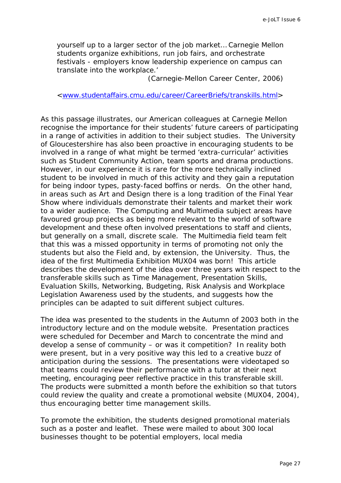yourself up to a larger sector of the job market… Carnegie Mellon students organize exhibitions, run job fairs, and orchestrate festivals - employers know leadership experience on campus can translate into the workplace.'

(Carnegie-Mellon Career Center, 2006)

[<www.studentaffairs.cmu.edu/career/CareerBriefs/transkills.html](http://www.studentaffairs.cmu.edu/career/CareerBriefs/transkills.html)>

As this passage illustrates, our American colleagues at Carnegie Mellon recognise the importance for their students' future careers of participating in a range of activities in addition to their subject studies. The University of Gloucestershire has also been proactive in encouraging students to be involved in a range of what might be termed 'extra-curricular' activities such as Student Community Action, team sports and drama productions. However, in our experience it is rare for the more technically inclined student to be involved in much of this activity and they gain a reputation for being indoor types, pasty-faced boffins or nerds. On the other hand, in areas such as Art and Design there is a long tradition of the Final Year Show where individuals demonstrate their talents and market their work to a wider audience. The Computing and Multimedia subject areas have favoured group projects as being more relevant to the world of software development and these often involved presentations to staff and clients, but generally on a small, discrete scale. The Multimedia field team felt that this was a missed opportunity in terms of promoting not only the students but also the Field and, by extension, the University. Thus, the idea of the first Multimedia Exhibition MUX04 was born! This article describes the development of the idea over three years with respect to the transferable skills such as Time Management, Presentation Skills, Evaluation Skills, Networking, Budgeting, Risk Analysis and Workplace Legislation Awareness used by the students, and suggests how the principles can be adapted to suit different subject cultures.

The idea was presented to the students in the Autumn of 2003 both in the introductory lecture and on the module website. Presentation practices were scheduled for December and March to concentrate the mind and develop a sense of community – or was it competition? In reality both were present, but in a very positive way this led to a creative buzz of anticipation during the sessions. The presentations were videotaped so that teams could review their performance with a tutor at their next meeting, encouraging peer reflective practice in this transferable skill. The products were submitted a month before the exhibition so that tutors could review the quality and create a promotional website (MUX04, 2004), thus encouraging better time management skills.

To promote the exhibition, the students designed promotional materials such as a poster and leaflet. These were mailed to about 300 local businesses thought to be potential employers, local media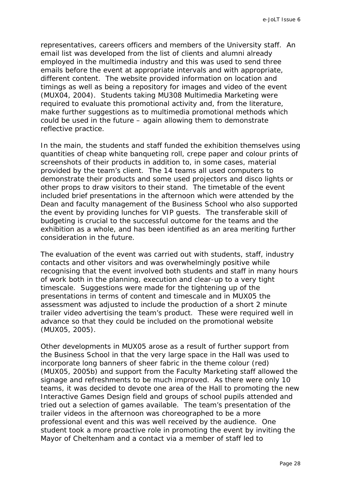representatives, careers officers and members of the University staff. An email list was developed from the list of clients and alumni already employed in the multimedia industry and this was used to send three emails before the event at appropriate intervals and with appropriate, different content. The website provided information on location and timings as well as being a repository for images and video of the event (MUX04, 2004). Students taking MU308 *Multimedia Marketing* were required to evaluate this promotional activity and, from the literature, make further suggestions as to multimedia promotional methods which could be used in the future – again allowing them to demonstrate reflective practice.

In the main, the students and staff funded the exhibition themselves using quantities of cheap white banqueting roll, crepe paper and colour prints of screenshots of their products in addition to, in some cases, material provided by the team's client. The 14 teams all used computers to demonstrate their products and some used projectors and disco lights or other props to draw visitors to their stand. The timetable of the event included brief presentations in the afternoon which were attended by the Dean and faculty management of the Business School who also supported the event by providing lunches for VIP guests. The transferable skill of budgeting is crucial to the successful outcome for the teams and the exhibition as a whole, and has been identified as an area meriting further consideration in the future.

The evaluation of the event was carried out with students, staff, industry contacts and other visitors and was overwhelmingly positive while recognising that the event involved both students and staff in many hours of work both in the planning, execution and clear-up to a very tight timescale. Suggestions were made for the tightening up of the presentations in terms of content and timescale and in MUX05 the assessment was adjusted to include the production of a short 2 minute trailer video advertising the team's product. These were required well in advance so that they could be included on the promotional website (MUX05, 2005).

Other developments in MUX05 arose as a result of further support from the Business School in that the very large space in the Hall was used to incorporate long banners of sheer fabric in the theme colour (red) (MUX05, 2005b) and support from the Faculty Marketing staff allowed the signage and refreshments to be much improved. As there were only 10 teams, it was decided to devote one area of the Hall to promoting the new Interactive Games Design field and groups of school pupils attended and tried out a selection of games available. The team's presentation of the trailer videos in the afternoon was choreographed to be a more professional event and this was well received by the audience. One student took a more proactive role in promoting the event by inviting the Mayor of Cheltenham and a contact via a member of staff led to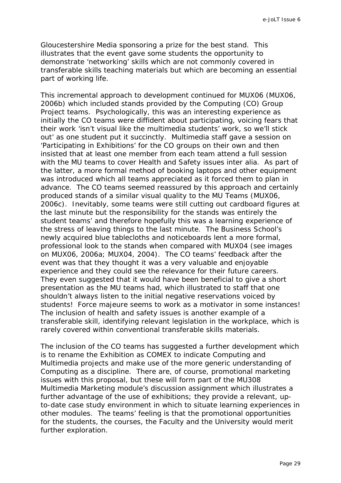e-JoLT Issue 6

Gloucestershire Media sponsoring a prize for the best stand. This illustrates that the event gave some students the opportunity to demonstrate 'networking' skills which are not commonly covered in transferable skills teaching materials but which are becoming an essential part of working life.

This incremental approach to development continued for MUX06 (MUX06, 2006b) which included stands provided by the Computing (CO) Group Project teams. Psychologically, this was an interesting experience as initially the CO teams were diffident about participating, voicing fears that their work 'isn't visual like the multimedia students' work, so we'll stick out' as one student put it succinctly. Multimedia staff gave a session on 'Participating in Exhibitions' for the CO groups on their own and then insisted that at least one member from each team attend a full session with the MU teams to cover Health and Safety issues *inter alia*. As part of the latter, a more formal method of booking laptops and other equipment was introduced which all teams appreciated as it forced them to plan in advance. The CO teams seemed reassured by this approach and certainly produced stands of a similar visual quality to the MU Teams (MUX06, 2006c). Inevitably, some teams were still cutting out cardboard figures at the last minute but the responsibility for the stands was entirely the student teams' and therefore hopefully this was a learning experience of the stress of leaving things to the last minute. The Business School's newly acquired blue tablecloths and noticeboards lent a more formal, professional look to the stands when compared with MUX04 (see images on MUX06, 2006a; MUX04, 2004). The CO teams' feedback after the event was that they thought it was a very valuable and enjoyable experience and they could see the relevance for their future careers. They even suggested that it would have been beneficial to give a short presentation as the MU teams had, which illustrated to staff that one shouldn't always listen to the initial negative reservations voiced by students! *Force majeure* seems to work as a motivator in some instances! The inclusion of health and safety issues is another example of a transferable skill, identifying relevant legislation in the workplace, which is rarely covered within conventional transferable skills materials.

The inclusion of the CO teams has suggested a further development which is to rename the Exhibition as COMEX to indicate Computing and Multimedia projects and make use of the more generic understanding of Computing as a discipline. There are, of course, promotional marketing issues with this proposal, but these will form part of the MU308 Multimedia Marketing module's discussion assignment which illustrates a further advantage of the use of exhibitions; they provide a relevant, upto-date case study environment in which to situate learning experiences in other modules. The teams' feeling is that the promotional opportunities for the students, the courses, the Faculty and the University would merit further exploration.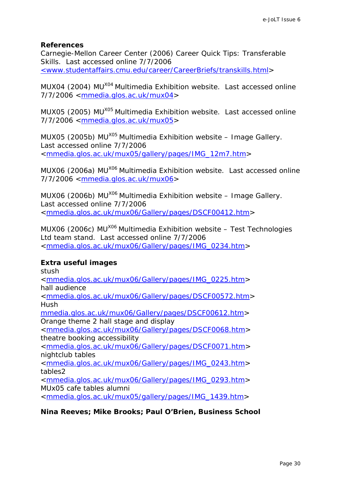#### **References**

Carnegie-Mellon Career Center (2006) *Career Quick Tips: Transferable Skills*. Last accessed online 7/7/2006 [<www.studentaffairs.cmu.edu/career/CareerBriefs/transkills.html>](http://www.studentaffairs.cmu.edu/career/CareerBriefs/transkills.html)

MUX04 (2004) *MUX04 Multimedia Exhibition website.* Last accessed online 7/7/2006 <[mmedia.glos.ac.uk/mux04>](http://mmedia.glos.ac.uk/mux04)

MUX05 (2005) *MUX05 Multimedia Exhibition website.* Last accessed online 7/7/2006 <[mmedia.glos.ac.uk/mux05>](http://mmedia.glos.ac.uk/mux05)

MUX05 (2005b) *MUX05 Multimedia Exhibition website – Image Gallery.*  Last accessed online 7/7/2006 <[mmedia.glos.ac.uk/mux05/gallery/pages/IMG\\_12m7.htm](http://mmedia.glos.ac.uk/mux05/gallery/pages/IMG_12m7.htm)>

MUX06 (2006a) *MUX06 Multimedia Exhibition website.* Last accessed online 7/7/2006 <[mmedia.glos.ac.uk/mux06>](http://mmedia.glos.ac.uk/mux06)

MUX06 (2006b) *MUX06 Multimedia Exhibition website – Image Gallery.*  Last accessed online 7/7/2006 <[mmedia.glos.ac.uk/mux06/Gallery/pages/DSCF00412.htm](http://mmedia.glos.ac.uk/mux06/Gallery/pages/DSCF00412.htm)>

MUX06 (2006c) *MUX06 Multimedia Exhibition website – Test Technologies Ltd team stand.* Last accessed online 7/7/2006 <[mmedia.glos.ac.uk/mux06/Gallery/pages/IMG\\_0234.htm](http://mmedia.glos.ac.uk/mux06/Gallery/pages/IMG_0234.htm)>

#### **Extra useful images**

stush

<[mmedia.glos.ac.uk/mux06/Gallery/pages/IMG\\_0225.htm](http://mmedia.glos.ac.uk/mux06/Gallery/pages/IMG_0225.htm)> hall audience <[mmedia.glos.ac.uk/mux06/Gallery/pages/DSCF00572.htm](http://mmedia.glos.ac.uk/mux06/Gallery/pages/DSCF00572.htm)> Hush [mmedia.glos.ac.uk/mux06/Gallery/pages/DSCF00612.htm>](http://mmedia.glos.ac.uk/mux06/Gallery/pages/DSCF00612.htm) Orange theme 2 hall stage and display <[mmedia.glos.ac.uk/mux06/Gallery/pages/DSCF0068.htm>](http://mmedia.glos.ac.uk/mux06/Gallery/pages/DSCF0068.htm) theatre booking accessibility <[mmedia.glos.ac.uk/mux06/Gallery/pages/DSCF0071.htm>](http://mmedia.glos.ac.uk/mux06/Gallery/pages/DSCF0071.htm) nightclub tables <[mmedia.glos.ac.uk/mux06/Gallery/pages/IMG\\_0243.htm](http://mmedia.glos.ac.uk/mux06/Gallery/pages/IMG_0243.htm)> tables2 <[mmedia.glos.ac.uk/mux06/Gallery/pages/IMG\\_0293.htm](http://mmedia.glos.ac.uk/mux06/Gallery/pages/IMG_0293.htm)> MUx05 cafe tables alumni <[mmedia.glos.ac.uk/mux05/gallery/pages/IMG\\_1439.htm](http://mmedia.glos.ac.uk/mux05/gallery/pages/IMG_1439.htm)>

*Nina Reeves; Mike Brooks; Paul O'Brien, Business School*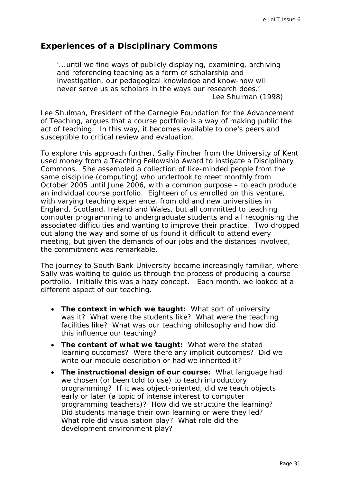# <span id="page-30-0"></span>**Experiences of a Disciplinary Commons**

'...until we find ways of publicly displaying, examining, archiving and referencing teaching as a form of scholarship and investigation, our pedagogical knowledge and know-how will never serve us as scholars in the ways our research does.' Lee Shulman (1998)

Lee Shulman, President of the Carnegie Foundation for the Advancement of Teaching, argues that a course portfolio is a way of making public the act of teaching. In this way, it becomes available to one's peers and susceptible to critical review and evaluation.

To explore this approach further, Sally Fincher from the University of Kent used money from a Teaching Fellowship Award to instigate a Disciplinary Commons. She assembled a collection of like-minded people from the same discipline (computing) who undertook to meet monthly from October 2005 until June 2006, with a common purpose – to each produce an individual course portfolio. Eighteen of us enrolled on this venture, with varying teaching experience, from old and new universities in England, Scotland, Ireland and Wales, but all committed to teaching computer programming to undergraduate students and all recognising the associated difficulties and wanting to improve their practice. Two dropped out along the way and some of us found it difficult to attend every meeting, but given the demands of our jobs and the distances involved, the commitment was remarkable.

The journey to South Bank University became increasingly familiar, where Sally was waiting to guide us through the process of producing a course portfolio. Initially this was a hazy concept. Each month, we looked at a different aspect of our teaching.

- **The context in which we taught:** What sort of university was it? What were the students like? What were the teaching facilities like? What was our teaching philosophy and how did this influence our teaching?
- **The content of what we taught:** What were the stated learning outcomes? Were there any implicit outcomes? Did we write our module description or had we inherited it?
- **The instructional design of our course:** What language had we chosen (or been told to use) to teach introductory programming? If it was object-oriented, did we teach objects early or later (a topic of intense interest to computer programming teachers)? How did we structure the learning? Did students manage their own learning or were they led? What role did visualisation play? What role did the development environment play?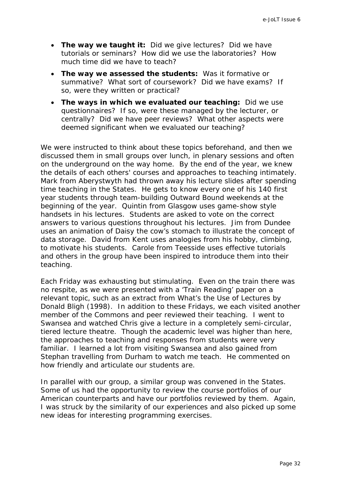- **The way we taught it:** Did we give lectures? Did we have tutorials or seminars? How did we use the laboratories? How much time did we have to teach?
- **The way we assessed the students:** Was it formative or summative? What sort of coursework? Did we have exams? If so, were they written or practical?
- **The ways in which we evaluated our teaching:** Did we use questionnaires? If so, were these managed by the lecturer, or centrally? Did we have peer reviews? What other aspects were deemed significant when we evaluated our teaching?

We were instructed to think about these topics beforehand, and then we discussed them in small groups over lunch, in plenary sessions and often on the underground on the way home. By the end of the year, we knew the details of each others' courses and approaches to teaching intimately. Mark from Aberystwyth had thrown away his lecture slides after spending time teaching in the States. He gets to know every one of his 140 first year students through team-building Outward Bound weekends at the beginning of the year. Quintin from Glasgow uses game-show style handsets in his lectures. Students are asked to vote on the correct answers to various questions throughout his lectures. Jim from Dundee uses an animation of Daisy the cow's stomach to illustrate the concept of data storage. David from Kent uses analogies from his hobby, climbing, to motivate his students. Carole from Teesside uses effective tutorials and others in the group have been inspired to introduce them into their teaching.

Each Friday was exhausting but stimulating. Even on the train there was no respite, as we were presented with a 'Train Reading' paper on a relevant topic, such as an extract from *What's the Use of Lectures* by Donald Bligh (1998). In addition to these Fridays, we each visited another member of the Commons and peer reviewed their teaching. I went to Swansea and watched Chris give a lecture in a completely semi-circular, tiered lecture theatre. Though the academic level was higher than here, the approaches to teaching and responses from students were very familiar. I learned a lot from visiting Swansea and also gained from Stephan travelling from Durham to watch me teach. He commented on how friendly and articulate our students are.

In parallel with our group, a similar group was convened in the States. Some of us had the opportunity to review the course portfolios of our American counterparts and have our portfolios reviewed by them. Again, I was struck by the similarity of our experiences and also picked up some new ideas for interesting programming exercises.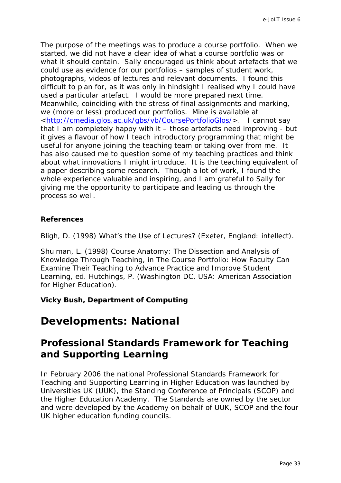<span id="page-32-0"></span>The purpose of the meetings was to produce a course portfolio. When we started, we did not have a clear idea of what a course portfolio was or what it should contain. Sally encouraged us think about artefacts that we could use as evidence for our portfolios – samples of student work, photographs, videos of lectures and relevant documents. I found this difficult to plan for, as it was only in hindsight I realised why I could have used a particular artefact. I would be more prepared next time. Meanwhile, coinciding with the stress of final assignments and marking, we (more or less) produced our portfolios. Mine is available at <<http://cmedia.glos.ac.uk/gbs/vb/CoursePortfolioGlos/>>. I cannot say that I am completely happy with it – those artefacts need improving - but it gives a flavour of how I teach introductory programming that might be useful for anyone joining the teaching team or taking over from me. It has also caused me to question some of my teaching practices and think about what innovations I might introduce. It is the teaching equivalent of a paper describing some research. Though a lot of work, I found the whole experience valuable and inspiring, and I am grateful to Sally for giving me the opportunity to participate and leading us through the process so well.

# **References**

Bligh, D. (1998) *What's the Use of Lectures?* (Exeter, England: intellect).

Shulman, L. (1998) Course Anatomy: The Dissection and Analysis of Knowledge Through Teaching, in *The Course Portfolio: How Faculty Can Examine Their Teaching to Advance Practice and Improve Student Learning*, ed. Hutchings, P. (Washington DC, USA: American Association for Higher Education).

# *Vicky Bush, Department of Computing*

# **Developments: National**

# **Professional Standards Framework for Teaching and Supporting Learning**

In February 2006 the national Professional Standards Framework for Teaching and Supporting Learning in Higher Education was launched by Universities UK (UUK), the Standing Conference of Principals (SCOP) and the Higher Education Academy. The Standards are owned by the sector and were developed by the Academy on behalf of UUK, SCOP and the four UK higher education funding councils.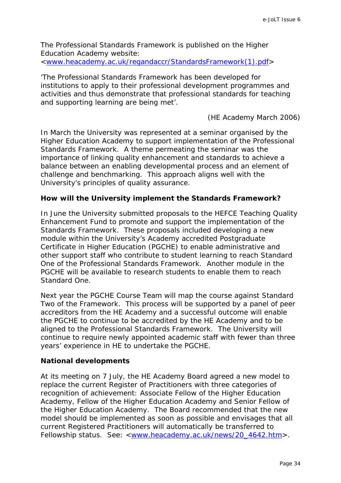The Professional Standards Framework is published on the Higher Education Academy website: <www.heacademy.ac.uk/regandaccr/StandardsFramework(1).pdf>

'The Professional Standards Framework has been developed for

institutions to apply to their professional development programmes and activities and thus demonstrate that professional standards for teaching and supporting learning are being met'.

(HE Academy March 2006)

In March the University was represented at a seminar organised by the Higher Education Academy to support implementation of the Professional Standards Framework. A theme permeating the seminar was the importance of linking quality enhancement and standards to achieve a balance between an enabling developmental process and an element of challenge and benchmarking. This approach aligns well with the University's principles of quality assurance.

# **How will the University implement the Standards Framework?**

In June the University submitted proposals to the HEFCE Teaching Quality Enhancement Fund to promote and support the implementation of the Standards Framework. These proposals included developing a new module within the University's Academy accredited Postgraduate Certificate in Higher Education (PGCHE) to enable administrative and other support staff who contribute to student learning to reach Standard One of the Professional Standards Framework. Another module in the PGCHE will be available to research students to enable them to reach Standard One.

Next year the PGCHE Course Team will map the course against Standard Two of the Framework. This process will be supported by a panel of peer accreditors from the HE Academy and a successful outcome will enable the PGCHE to continue to be accredited by the HE Academy and to be aligned to the Professional Standards Framework. The University will continue to require newly appointed academic staff with fewer than three years' experience in HE to undertake the PGCHE.

#### **National developments**

At its meeting on 7 July, the HE Academy Board agreed a new model to replace the current Register of Practitioners with three categories of recognition of achievement: Associate Fellow of the Higher Education Academy, Fellow of the Higher Education Academy and Senior Fellow of the Higher Education Academy. The Board recommended that the new model should be implemented as soon as possible and envisages that all current Registered Practitioners will automatically be transferred to Fellowship status. See: [<www.heacademy.ac.uk/news/20\\_4642.htm>](http://www.heacademy.ac.uk/news/20_4642.htm).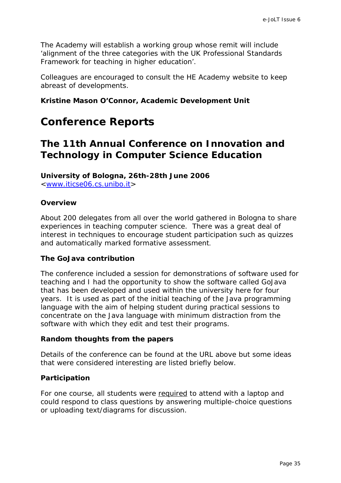<span id="page-34-0"></span>The Academy will establish a working group whose remit will include 'alignment of the three categories with the UK Professional Standards Framework for teaching in higher education'.

Colleagues are encouraged to consult the HE Academy website to keep abreast of developments.

### *Kristine Mason O'Connor, Academic Development Unit*

# **Conference Reports**

# **The 11th Annual Conference on Innovation and Technology in Computer Science Education**

**University of Bologna, 26th-28th June 2006** <[www.iticse06.cs.unibo.it>](http://www.iticse06.cs.unibo.it/)

**Overview** 

About 200 delegates from all over the world gathered in Bologna to share experiences in teaching computer science. There was a great deal of interest in techniques to encourage student participation such as quizzes and automatically marked formative assessment.

#### **The GoJava contribution**

The conference included a session for demonstrations of software used for teaching and I had the opportunity to show the software called GoJava that has been developed and used within the university here for four years. It is used as part of the initial teaching of the Java programming language with the aim of helping student during practical sessions to concentrate on the Java language with minimum distraction from the software with which they edit and test their programs.

#### **Random thoughts from the papers**

Details of the conference can be found at the URL above but some ideas that were considered interesting are listed briefly below.

#### **Participation**

For one course, all students were required to attend with a laptop and could respond to class questions by answering multiple-choice questions or uploading text/diagrams for discussion.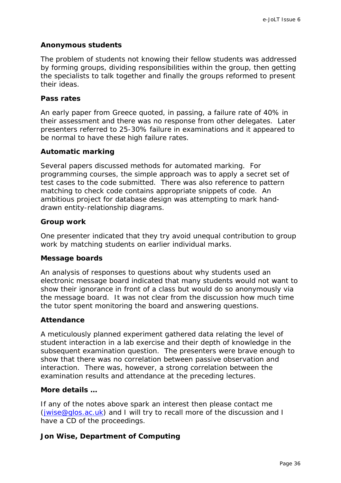# **Anonymous students**

The problem of students not knowing their fellow students was addressed by forming groups, dividing responsibilities within the group, then getting the specialists to talk together and finally the groups reformed to present their ideas.

# **Pass rates**

An early paper from Greece quoted, in passing, a failure rate of 40% in their assessment and there was no response from other delegates. Later presenters referred to 25-30% failure in examinations and it appeared to be normal to have these high failure rates.

### **Automatic marking**

Several papers discussed methods for automated marking. For programming courses, the simple approach was to apply a secret set of test cases to the code submitted. There was also reference to pattern matching to check code contains appropriate snippets of code. An ambitious project for database design was attempting to mark handdrawn entity-relationship diagrams.

### **Group work**

One presenter indicated that they try avoid unequal contribution to group work by matching students on earlier individual marks.

#### **Message boards**

An analysis of responses to questions about why students used an electronic message board indicated that many students would not want to show their ignorance in front of a class but would do so anonymously via the message board. It was not clear from the discussion how much time the tutor spent monitoring the board and answering questions.

# **Attendance**

A meticulously planned experiment gathered data relating the level of student interaction in a lab exercise and their depth of knowledge in the subsequent examination question. The presenters were brave enough to show that there was no correlation between passive observation and interaction. There was, however, a strong correlation between the examination results and attendance at the preceding lectures.

#### **More details …**

If any of the notes above spark an interest then please contact me [\(jwise@glos.ac.uk](mailto:jwise@glos.ac.uk)) and I will try to recall more of the discussion and I have a CD of the proceedings.

# *Jon Wise, Department of Computing*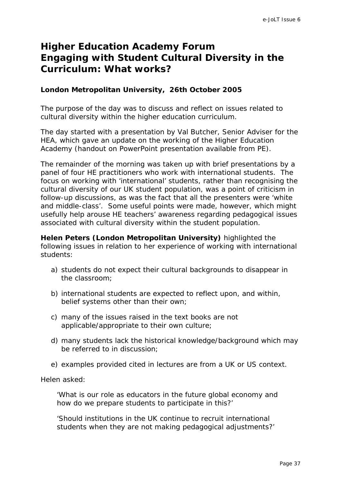# <span id="page-36-0"></span>**Higher Education Academy Forum Engaging with Student Cultural Diversity in the Curriculum: What works?**

### **London Metropolitan University, 26th October 2005**

The purpose of the day was to discuss and reflect on issues related to cultural diversity within the higher education curriculum.

The day started with a presentation by Val Butcher, Senior Adviser for the HEA, which gave an update on the working of the Higher Education Academy (handout on PowerPoint presentation available from PE).

The remainder of the morning was taken up with brief presentations by a panel of four HE practitioners who work with international students. The focus on working with 'international' students, rather than recognising the cultural diversity of our UK student population, was a point of criticism in follow-up discussions, as was the fact that all the presenters were 'white and middle-class'. Some useful points were made, however, which might usefully help arouse HE teachers' awareness regarding pedagogical issues associated with cultural diversity within the student population.

**Helen Peters (London Metropolitan University)** highlighted the following issues in relation to her experience of working with international students:

- a) students do not expect their cultural backgrounds to disappear in the classroom;
- b) international students are expected to reflect upon, and within, belief systems other than their own;
- c) many of the issues raised in the text books are not applicable/appropriate to their own culture;
- d) many students lack the historical knowledge/background which may be referred to in discussion;
- e) examples provided cited in lectures are from a UK or US context.

Helen asked:

'What is our role as educators in the future global economy and how do we prepare students to participate in this?'

'Should institutions in the UK continue to recruit international students when they are not making pedagogical adjustments?'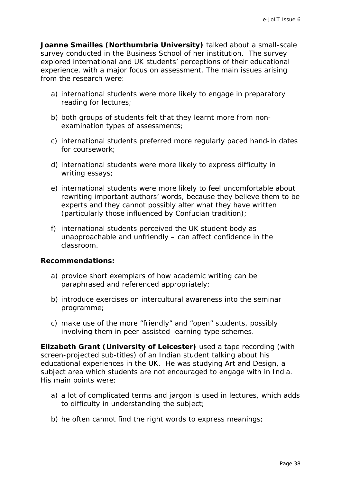**Joanne Smailles (Northumbria University)** talked about a small-scale survey conducted in the Business School of her institution. The survey explored international and UK students' perceptions of their educational experience, with a major focus on assessment. The main issues arising from the research were:

- a) international students were more likely to engage in preparatory reading for lectures;
- b) both groups of students felt that they learnt more from nonexamination types of assessments;
- c) international students preferred more regularly paced hand-in dates for coursework;
- d) international students were more likely to express difficulty in writing essays;
- e) international students were more likely to feel uncomfortable about rewriting important authors' words, because they believe them to be experts and they cannot possibly alter what they have written (particularly those influenced by Confucian tradition);
- f) international students perceived the UK student body as unapproachable and unfriendly – can affect confidence in the classroom.

#### **Recommendations:**

- a) provide short exemplars of how academic writing can be paraphrased and referenced appropriately;
- b) introduce exercises on intercultural awareness into the seminar programme;
- c) make use of the more "friendly" and "open" students, possibly involving them in peer-assisted-learning-type schemes.

**Elizabeth Grant (University of Leicester)** used a tape recording (with screen-projected sub-titles) of an Indian student talking about his educational experiences in the UK. He was studying Art and Design, a subject area which students are not encouraged to engage with in India. His main points were:

- a) a lot of complicated terms and jargon is used in lectures, which adds to difficulty in understanding the subject;
- b) he often cannot find the right words to express meanings;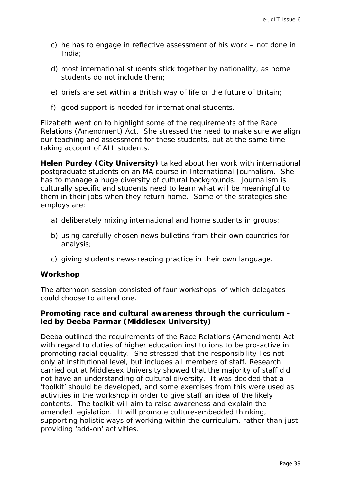- c) he has to engage in reflective assessment of his work not done in India;
- d) most international students stick together by nationality, as home students do not include them;
- e) briefs are set within a British way of life or the future of Britain;
- f) good support is needed for international students.

Elizabeth went on to highlight some of the requirements of the Race Relations (Amendment) Act. She stressed the need to make sure we align our teaching and assessment for these students, but at the same time taking account of ALL students.

**Helen Purdey (City University)** talked about her work with international postgraduate students on an MA course in International Journalism. She has to manage a huge diversity of cultural backgrounds. Journalism is culturally specific and students need to learn what will be meaningful to them in their jobs when they return home. Some of the strategies she employs are:

- a) deliberately mixing international and home students in groups;
- b) using carefully chosen news bulletins from their own countries for analysis;
- c) giving students news-reading practice in their own language.

#### **Workshop**

The afternoon session consisted of four workshops, of which delegates could choose to attend one.

# **Promoting race and cultural awareness through the curriculum led by Deeba Parmar (Middlesex University)**

Deeba outlined the requirements of the Race Relations (Amendment) Act with regard to duties of higher education institutions to be pro-active in promoting racial equality. She stressed that the responsibility lies not only at institutional level, but includes all members of staff. Research carried out at Middlesex University showed that the majority of staff did not have an understanding of cultural diversity. It was decided that a 'toolkit' should be developed, and some exercises from this were used as activities in the workshop in order to give staff an idea of the likely contents. The toolkit will aim to raise awareness and explain the amended legislation. It will promote culture-embedded thinking, supporting holistic ways of working within the curriculum, rather than just providing 'add-on' activities.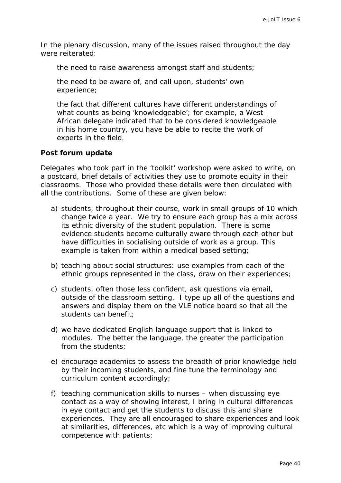In the plenary discussion, many of the issues raised throughout the day were reiterated:

the need to raise awareness amongst staff and students;

the need to be aware of, and call upon, students' own experience;

the fact that different cultures have different understandings of what counts as being 'knowledgeable'; for example, a West African delegate indicated that to be considered knowledgeable in his home country, you have be able to recite the work of experts in the field.

#### **Post forum update**

Delegates who took part in the 'toolkit' workshop were asked to write, on a postcard, brief details of activities they use to promote equity in their classrooms. Those who provided these details were then circulated with all the contributions. Some of these are given below:

- a) students, throughout their course, work in small groups of 10 which change twice a year. We try to ensure each group has a mix across its ethnic diversity of the student population. There is some evidence students become culturally aware through each other but have difficulties in socialising outside of work as a group. This example is taken from within a medical based setting;
- b) teaching about social structures: use examples from each of the ethnic groups represented in the class, draw on their experiences;
- c) students, often those less confident, ask questions via email, outside of the classroom setting. I type up all of the questions and answers and display them on the VLE notice board so that all the students can benefit;
- d) we have dedicated English language support that is linked to modules. The better the language, the greater the participation from the students;
- e) encourage academics to assess the breadth of prior knowledge held by their incoming students, and fine tune the terminology and curriculum content accordingly;
- f) teaching communication skills to nurses when discussing eye contact as a way of showing interest, I bring in cultural differences in eye contact and get the students to discuss this and share experiences. They are all encouraged to share experiences and look at similarities, differences, etc which is a way of improving cultural competence with patients;